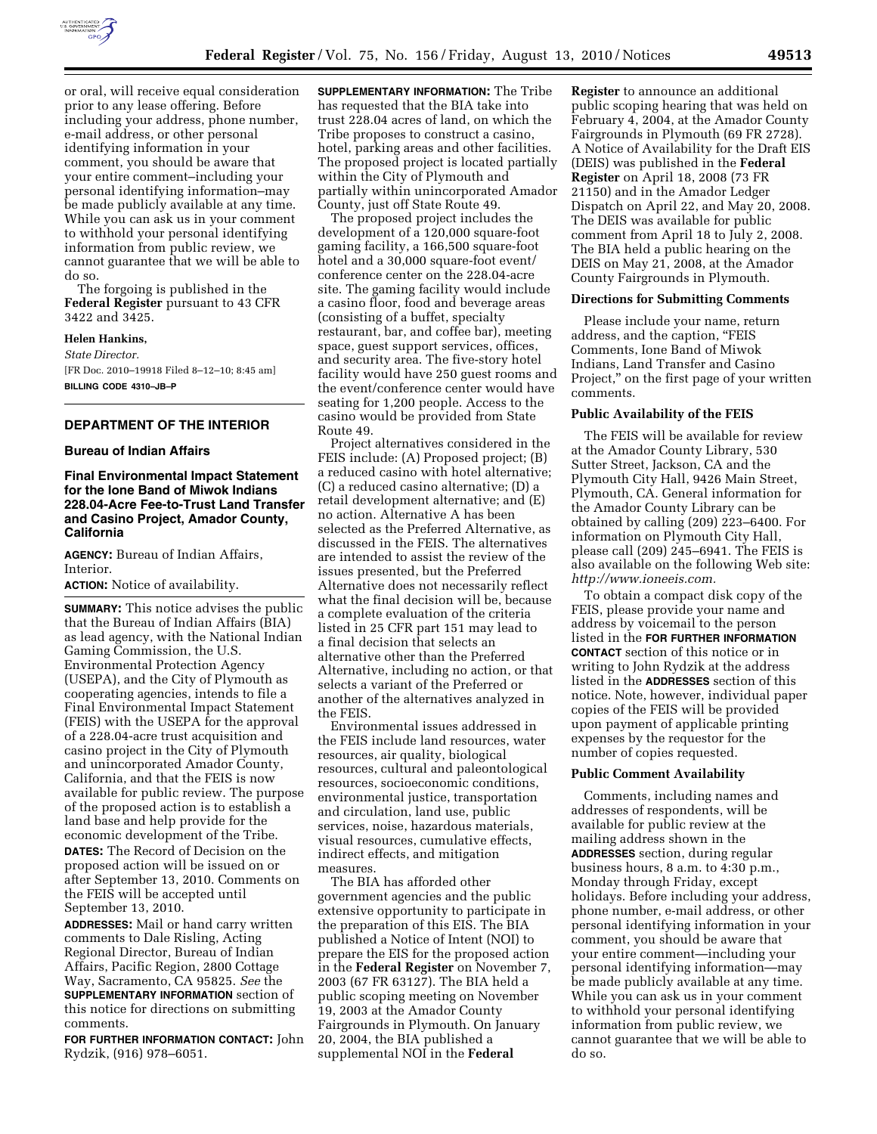

or oral, will receive equal consideration prior to any lease offering. Before including your address, phone number, e-mail address, or other personal identifying information in your comment, you should be aware that your entire comment–including your personal identifying information–may be made publicly available at any time. While you can ask us in your comment to withhold your personal identifying

information from public review, we cannot guarantee that we will be able to do so.

The forgoing is published in the **Federal Register** pursuant to 43 CFR 3422 and 3425.

#### **Helen Hankins,**

*State Director.*  [FR Doc. 2010–19918 Filed 8–12–10; 8:45 am] **BILLING CODE 4310–JB–P** 

# **DEPARTMENT OF THE INTERIOR**

#### **Bureau of Indian Affairs**

# **Final Environmental Impact Statement for the Ione Band of Miwok Indians 228.04-Acre Fee-to-Trust Land Transfer and Casino Project, Amador County, California**

**AGENCY:** Bureau of Indian Affairs, Interior.

**ACTION:** Notice of availability.

**SUMMARY:** This notice advises the public that the Bureau of Indian Affairs (BIA) as lead agency, with the National Indian Gaming Commission, the U.S. Environmental Protection Agency (USEPA), and the City of Plymouth as cooperating agencies, intends to file a Final Environmental Impact Statement (FEIS) with the USEPA for the approval of a 228.04-acre trust acquisition and casino project in the City of Plymouth and unincorporated Amador County, California, and that the FEIS is now available for public review. The purpose of the proposed action is to establish a land base and help provide for the economic development of the Tribe. **DATES:** The Record of Decision on the proposed action will be issued on or after September 13, 2010. Comments on the FEIS will be accepted until September 13, 2010.

**ADDRESSES:** Mail or hand carry written comments to Dale Risling, Acting Regional Director, Bureau of Indian Affairs, Pacific Region, 2800 Cottage Way, Sacramento, CA 95825. *See* the **SUPPLEMENTARY INFORMATION** section of this notice for directions on submitting comments.

**FOR FURTHER INFORMATION CONTACT:** John Rydzik, (916) 978–6051.

**SUPPLEMENTARY INFORMATION:** The Tribe has requested that the BIA take into trust 228.04 acres of land, on which the Tribe proposes to construct a casino, hotel, parking areas and other facilities. The proposed project is located partially within the City of Plymouth and partially within unincorporated Amador County, just off State Route 49.

The proposed project includes the development of a 120,000 square-foot gaming facility, a 166,500 square-foot hotel and a 30,000 square-foot event/ conference center on the 228.04-acre site. The gaming facility would include a casino floor, food and beverage areas (consisting of a buffet, specialty restaurant, bar, and coffee bar), meeting space, guest support services, offices, and security area. The five-story hotel facility would have 250 guest rooms and the event/conference center would have seating for 1,200 people. Access to the casino would be provided from State Route 49.

Project alternatives considered in the FEIS include: (A) Proposed project; (B) a reduced casino with hotel alternative; (C) a reduced casino alternative; (D) a retail development alternative; and (E) no action. Alternative A has been selected as the Preferred Alternative, as discussed in the FEIS. The alternatives are intended to assist the review of the issues presented, but the Preferred Alternative does not necessarily reflect what the final decision will be, because a complete evaluation of the criteria listed in 25 CFR part 151 may lead to a final decision that selects an alternative other than the Preferred Alternative, including no action, or that selects a variant of the Preferred or another of the alternatives analyzed in the FEIS.

Environmental issues addressed in the FEIS include land resources, water resources, air quality, biological resources, cultural and paleontological resources, socioeconomic conditions, environmental justice, transportation and circulation, land use, public services, noise, hazardous materials, visual resources, cumulative effects, indirect effects, and mitigation measures.

The BIA has afforded other government agencies and the public extensive opportunity to participate in the preparation of this EIS. The BIA published a Notice of Intent (NOI) to prepare the EIS for the proposed action in the **Federal Register** on November 7, 2003 (67 FR 63127). The BIA held a public scoping meeting on November 19, 2003 at the Amador County Fairgrounds in Plymouth. On January 20, 2004, the BIA published a supplemental NOI in the **Federal** 

**Register** to announce an additional public scoping hearing that was held on February 4, 2004, at the Amador County Fairgrounds in Plymouth (69 FR 2728). A Notice of Availability for the Draft EIS (DEIS) was published in the **Federal Register** on April 18, 2008 (73 FR 21150) and in the Amador Ledger Dispatch on April 22, and May 20, 2008. The DEIS was available for public comment from April 18 to July 2, 2008. The BIA held a public hearing on the DEIS on May 21, 2008, at the Amador County Fairgrounds in Plymouth.

### **Directions for Submitting Comments**

Please include your name, return address, and the caption, "FEIS Comments, Ione Band of Miwok Indians, Land Transfer and Casino Project," on the first page of your written comments.

#### **Public Availability of the FEIS**

The FEIS will be available for review at the Amador County Library, 530 Sutter Street, Jackson, CA and the Plymouth City Hall, 9426 Main Street, Plymouth, CA. General information for the Amador County Library can be obtained by calling (209) 223–6400. For information on Plymouth City Hall, please call (209) 245–6941. The FEIS is also available on the following Web site: *[http://www.ioneeis.com.](http://www.ioneeis.com)* 

To obtain a compact disk copy of the FEIS, please provide your name and address by voicemail to the person listed in the **FOR FURTHER INFORMATION CONTACT** section of this notice or in writing to John Rydzik at the address listed in the **ADDRESSES** section of this notice. Note, however, individual paper copies of the FEIS will be provided upon payment of applicable printing expenses by the requestor for the number of copies requested.

#### **Public Comment Availability**

Comments, including names and addresses of respondents, will be available for public review at the mailing address shown in the **ADDRESSES** section, during regular business hours, 8 a.m. to 4:30 p.m., Monday through Friday, except holidays. Before including your address, phone number, e-mail address, or other personal identifying information in your comment, you should be aware that your entire comment—including your personal identifying information—may be made publicly available at any time. While you can ask us in your comment to withhold your personal identifying information from public review, we cannot guarantee that we will be able to do so.